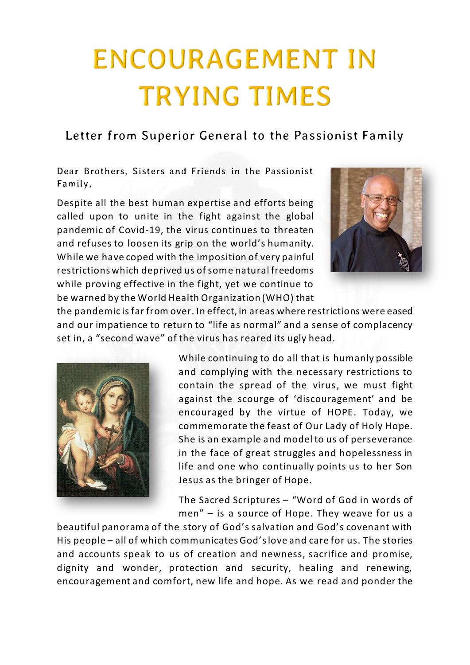## **ENCOURAGEMENT IN TRYING TIMES**

## *Letter from Superior General to the Passionist Family*

*Dear Brothers, Sisters and Friends in the Passionist Family,*

Despite all the best human expertise and efforts being called upon to unite in the fight against the global pandemic of Covid-19, the virus continues to threaten and refuses to loosen its grip on the world's humanity. While we have coped with the imposition of very painful restrictions which deprived us of some natural freedoms while proving effective in the fight, yet we continue to be warned by the World Health Organization (WHO) that



the pandemic is far from over. In effect, in areas where restrictions were eased and our impatience to return to "life as normal" and a sense of complacency set in, a "second wave" of the virus has reared its ugly head.



While continuing to do all that is humanly possible and complying with the necessary restrictions to contain the spread of the virus, we must fight against the scourge of 'discouragement' and be encouraged by the virtue of HOPE. Today, we commemorate the feast of Our Lady of Holy Hope. She is an example and model to us of perseverance in the face of great struggles and hopelessness in life and one who continually points us to her Son Jesus as the bringer of Hope.

The Sacred Scriptures – "Word of God in words of men" – is a source of Hope. They weave for us a

beautiful panorama of the story of God's salvation and God's covenant with His people – all of which communicates God's love and care for us. The stories and accounts speak to us of creation and newness, sacrifice and promise, dignity and wonder, protection and security, healing and renewing, encouragement and comfort, new life and hope. As we read and ponder the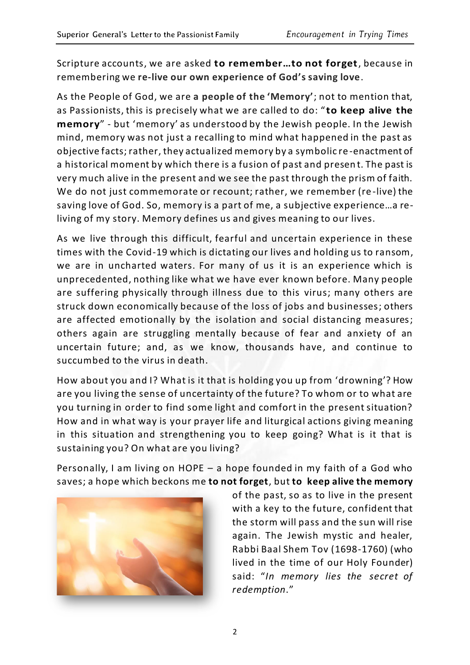Scripture accounts, we are asked **to remember…to not forget**, because in remembering we **re-live our own experience of God's saving love**.

As the People of God, we are **a people of the 'Memory'**; not to mention that, as Passionists, this is precisely what we are called to do: " **to keep alive the memory**" - but 'memory' as understood by the Jewish people. In the Jewish mind, memory was not just a recalling to mind what happened in the past as objective facts; rather, they actualized memory by a symbolic re -enactment of a historical moment by which there is a fusion of past and presen t. The past is very much alive in the present and we see the past through the prism of faith. We do not just commemorate or recount; rather, we remember (re -live) the saving love of God. So, memory is a part of me, a subjective experience…a reliving of my story. Memory defines us and gives meaning to our lives.

As we live through this difficult, fearful and uncertain experience in these times with the Covid-19 which is dictating our lives and holding us to ransom, we are in uncharted waters. For many of us it is an experience which is unprecedented, nothing like what we have ever known before. Many people are suffering physically through illness due to this virus; many others are struck down economically because of the loss of jobs and businesses; others are affected emotionally by the isolation and social distancing measures; others again are struggling mentally because of fear and anxiety of an uncertain future; and, as we know, thousands have, and continue to succumbed to the virus in death.

How about you and I? What is it that is holding you up from 'drowning'? How are you living the sense of uncertainty of the future? To whom or to what are you turning in order to find some light and comfort in the present situation? How and in what way is your prayer life and liturgical actions giving meaning in this situation and strengthening you to keep going? What is it that is sustaining you? On what are you living?

Personally, I am living on HOPE – a hope founded in my faith of a God who saves; a hope which beckons me **to not forget**, but **to keep alive the memory**



of the past, so as to live in the present with a key to the future, confident that the storm will pass and the sun will rise again. The Jewish mystic and healer, Rabbi Baal Shem Tov (1698-1760) (who lived in the time of our Holy Founder) said: "*In memory lies the secret of redemption*."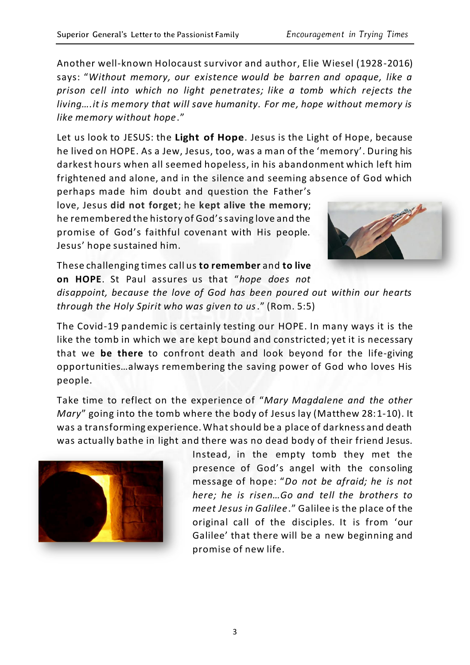Let us look to JESUS: the **Light of Hope**. Jesus is the Light of Hope, because he lived on HOPE. As a Jew, Jesus, too, was a man of the 'memory'. During his darkest hours when all seemed hopeless, in his abandonment which left him frightened and alone, and in the silence and seeming absence of God which perhaps made him doubt and question the Father's

love, Jesus **did not forget**; he **kept alive the memory**; he remembered the history of God's saving love and the promise of God's faithful covenant with His people. Jesus' hope sustained him.



These challenging times call us **to remember** and **to live on HOPE**. St Paul assures us that "*hope does not disappoint, because the love of God has been poured out within our hearts through the Holy Spirit who was given to us*." (Rom. 5:5)

The Covid-19 pandemic is certainly testing our HOPE. In many ways it is the like the tomb in which we are kept bound and constricted; yet it is necessary that we **be there** to confront death and look beyond for the life-giving opportunities…always remembering the saving power of God who loves His people.

Take time to reflect on the experience of "*Mary Magdalene and the other Mary*" going into the tomb where the body of Jesus lay (Matthew 28:1-10). It was a transforming experience. What should be a place of darkness and death was actually bathe in light and there was no dead body of their friend Jesus.



Instead, in the empty tomb they met the presence of God's angel with the consoling message of hope: "*Do not be afraid; he is not here; he is risen…Go and tell the brothers to meet Jesus in Galilee*." Galilee is the place of the original call of the disciples. It is from 'our Galilee' that there will be a new beginning and promise of new life.